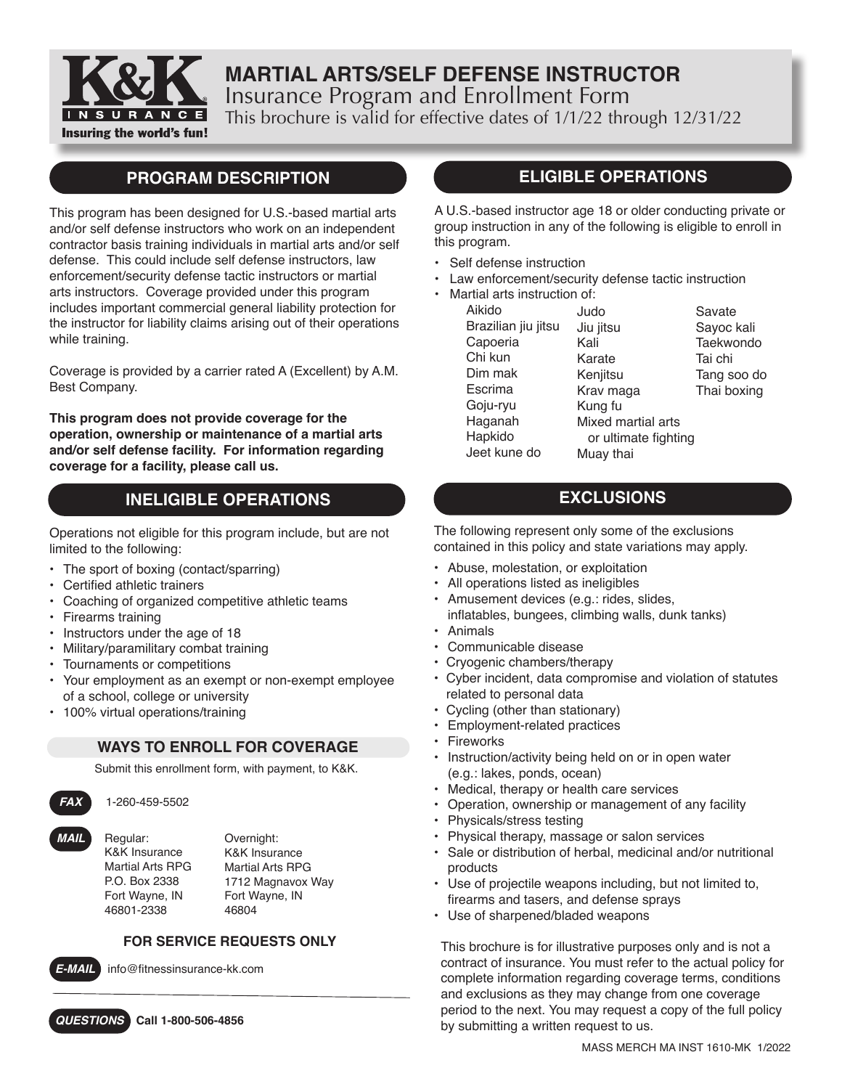

# **MARTIAL ARTS/SELF DEFENSE INSTRUCTOR** Insurance Program and Enrollment Form This brochure is valid for effective dates of 1/1/22 through 12/31/22

## **PROGRAM DESCRIPTION**

This program has been designed for U.S.-based martial arts and/or self defense instructors who work on an independent contractor basis training individuals in martial arts and/or self defense. This could include self defense instructors, law enforcement/security defense tactic instructors or martial arts instructors. Coverage provided under this program includes important commercial general liability protection for the instructor for liability claims arising out of their operations while training.

Coverage is provided by a carrier rated A (Excellent) by A.M. Best Company.

**This program does not provide coverage for the operation, ownership or maintenance of a martial arts and/or self defense facility. For information regarding coverage for a facility, please call us.**

# **INELIGIBLE OPERATIONS**

Operations not eligible for this program include, but are not limited to the following:

- The sport of boxing (contact/sparring)
- • Certified athletic trainers
- Coaching of organized competitive athletic teams
- Firearms training
- Instructors under the age of 18
- Military/paramilitary combat training
- Tournaments or competitions
- Your employment as an exempt or non-exempt employee of a school, college or university
- 100% virtual operations/training

### **WAYS TO ENROLL FOR COVERAGE**

Submit this enrollment form, with payment, to K&K.

*FAX* 1-260-459-5502

*MAIL* Regular: K&K Insurance Martial Arts RPG P.O. Box 2338 Fort Wayne, IN 46801-2338

Overnight: K&K Insurance Martial Arts RPG 1712 Magnavox Way Fort Wayne, IN 46804

### **FOR SERVICE REQUESTS ONLY**



*E-MAIL* info@fitnessinsurance-kk.com

*QUESTIONS* **Call 1-800-506-4856**

### **ELIGIBLE OPERATIONS**

A U.S.-based instructor age 18 or older conducting private or group instruction in any of the following is eligible to enroll in this program.

- Self defense instruction
- Law enforcement/security defense tactic instruction
- Martial arts instruction of:

 Aikido Brazilian jiu jitsu Capoeria Chi kun Dim mak Escrima Goju-ryu Haganah Hapkido Jeet kune do

Judo Jiu jitsu Kali Karate **Keniitsu** Krav maga Kung fu Mixed martial arts or ultimate fighting Muay thai

Savate Sayoc kali **Taekwondo** Tai chi Tang soo do Thai boxing

# **EXCLUSIONS**

The following represent only some of the exclusions contained in this policy and state variations may apply.

- Abuse, molestation, or exploitation
- All operations listed as ineligibles
- Amusement devices (e.g.: rides, slides,
- inflatables, bungees, climbing walls, dunk tanks) • Animals
- Communicable disease
- Cryogenic chambers/therapy
- Cyber incident, data compromise and violation of statutes related to personal data
- Cycling (other than stationary)
- Employment-related practices
- Fireworks
- Instruction/activity being held on or in open water (e.g.: lakes, ponds, ocean)
- Medical, therapy or health care services
- Operation, ownership or management of any facility
- Physicals/stress testing
- Physical therapy, massage or salon services
- Sale or distribution of herbal, medicinal and/or nutritional products
- Use of projectile weapons including, but not limited to, firearms and tasers, and defense sprays
- Use of sharpened/bladed weapons

This brochure is for illustrative purposes only and is not a contract of insurance. You must refer to the actual policy for complete information regarding coverage terms, conditions and exclusions as they may change from one coverage period to the next. You may request a copy of the full policy by submitting a written request to us.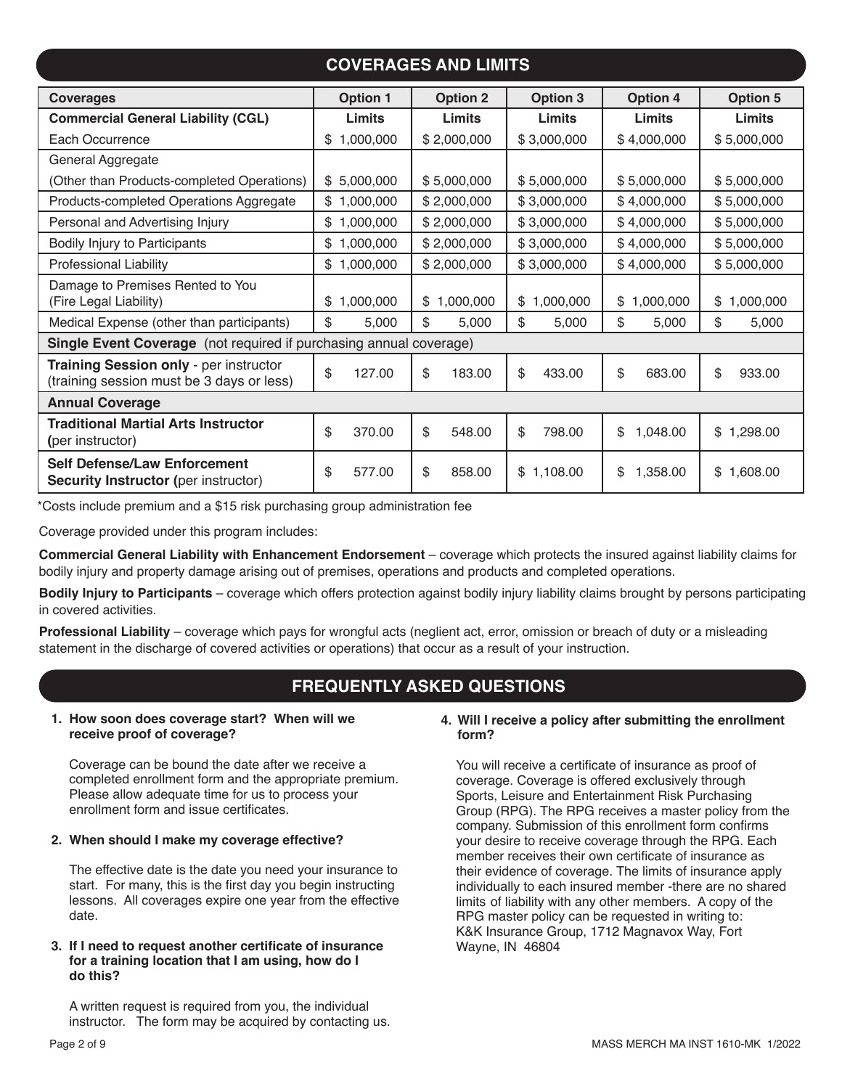# **COVERAGES AND LIMITS**

| <b>Coverages</b>                                                                    | <b>Option 1</b> | <b>Option 2</b> | <b>Option 3</b> | <b>Option 4</b> | Option 5        |
|-------------------------------------------------------------------------------------|-----------------|-----------------|-----------------|-----------------|-----------------|
| <b>Commercial General Liability (CGL)</b>                                           | Limits          | Limits          | Limits          | Limits          | Limits          |
| Each Occurrence                                                                     | \$1,000,000     | \$2,000,000     | \$3,000,000     | \$4,000,000     | \$5,000,000     |
| General Aggregate                                                                   |                 |                 |                 |                 |                 |
| (Other than Products-completed Operations)                                          | \$5,000,000     | \$5,000,000     | \$5,000,000     | \$5,000,000     | \$5,000,000     |
| Products-completed Operations Aggregate                                             | \$1,000,000     | \$2,000,000     | \$3,000,000     | \$4,000,000     | \$5,000,000     |
| Personal and Advertising Injury                                                     | \$1,000,000     | \$2,000,000     | \$3,000,000     | \$4,000,000     | \$5,000,000     |
| Bodily Injury to Participants                                                       | \$1,000,000     | \$2,000,000     | \$3,000,000     | \$4,000,000     | \$5,000,000     |
| <b>Professional Liability</b>                                                       | \$1,000,000     | \$2,000,000     | \$3,000,000     | \$4,000,000     | \$5,000,000     |
| Damage to Premises Rented to You<br>(Fire Legal Liability)                          | 1,000,000<br>\$ | 1,000,000<br>\$ | 1,000,000<br>\$ | 1,000,000<br>\$ | 1,000,000<br>\$ |
| Medical Expense (other than participants)                                           | \$<br>5,000     | \$<br>5,000     | \$<br>5,000     | \$<br>5,000     | \$<br>5,000     |
| Single Event Coverage (not required if purchasing annual coverage)                  |                 |                 |                 |                 |                 |
| Training Session only - per instructor<br>(training session must be 3 days or less) | \$<br>127.00    | \$<br>183.00    | \$<br>433.00    | \$<br>683.00    | \$<br>933.00    |
| <b>Annual Coverage</b>                                                              |                 |                 |                 |                 |                 |
| <b>Traditional Martial Arts Instructor</b><br>(per instructor)                      | \$<br>370.00    | \$<br>548.00    | \$<br>798.00    | \$<br>1,048.00  | \$1,298.00      |
| <b>Self Defense/Law Enforcement</b><br><b>Security Instructor (per instructor)</b>  | \$<br>577.00    | \$<br>858.00    | \$1,108.00      | \$<br>1,358.00  | \$1,608.00      |

\*Costs include premium and a \$15 risk purchasing group administration fee

Coverage provided under this program includes:

**Commercial General Liability with Enhancement Endorsement** – coverage which protects the insured against liability claims for bodily injury and property damage arising out of premises, operations and products and completed operations.

**Bodily Injury to Participants** – coverage which offers protection against bodily injury liability claims brought by persons participating in covered activities.

**Professional Liability** – coverage which pays for wrongful acts (neglient act, error, omission or breach of duty or a misleading statement in the discharge of covered activities or operations) that occur as a result of your instruction.

# **FREQUENTLY ASKED QUESTIONS**

#### **1. How soon does coverage start? When will we receive proof of coverage?**

Coverage can be bound the date after we receive a completed enrollment form and the appropriate premium. Please allow adequate time for us to process your enrollment form and issue certificates.

#### **2. When should I make my coverage effective?**

The effective date is the date you need your insurance to start. For many, this is the first day you begin instructing lessons. All coverages expire one year from the effective date.

#### **3. If I need to request another certificate of insurance for a training location that I am using, how do I do this?**

A written request is required from you, the individual instructor. The form may be acquired by contacting us.

#### **4. Will I receive a policy after submitting the enrollment form?**

You will receive a certificate of insurance as proof of coverage. Coverage is offered exclusively through Sports, Leisure and Entertainment Risk Purchasing Group (RPG). The RPG receives a master policy from the company. Submission of this enrollment form confirms your desire to receive coverage through the RPG. Each member receives their own certificate of insurance as their evidence of coverage. The limits of insurance apply individually to each insured member -there are no shared limits of liability with any other members. A copy of the RPG master policy can be requested in writing to: K&K Insurance Group, 1712 Magnavox Way, Fort Wayne, IN 46804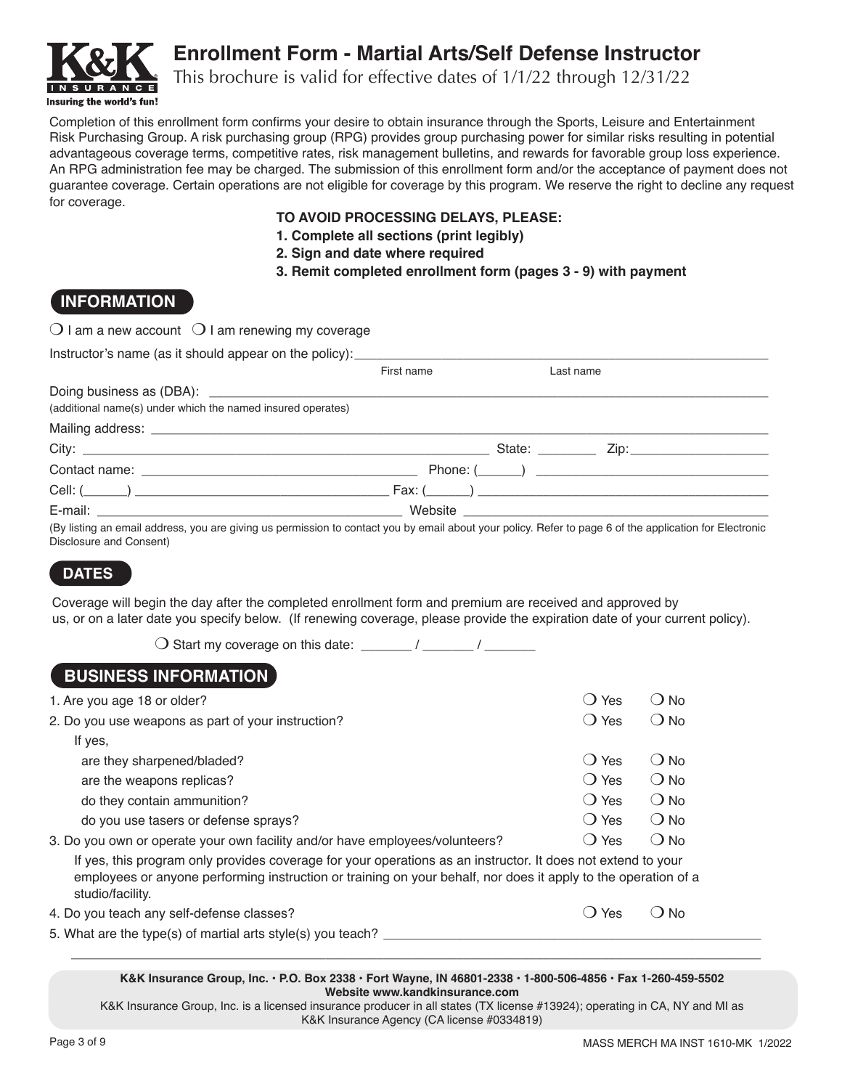

# **Enrollment Form - Martial Arts/Self Defense Instructor**

This brochure is valid for effective dates of 1/1/22 through 12/31/22

Completion of this enrollment form confirms your desire to obtain insurance through the Sports, Leisure and Entertainment Risk Purchasing Group. A risk purchasing group (RPG) provides group purchasing power for similar risks resulting in potential advantageous coverage terms, competitive rates, risk management bulletins, and rewards for favorable group loss experience. An RPG administration fee may be charged. The submission of this enrollment form and/or the acceptance of payment does not guarantee coverage. Certain operations are not eligible for coverage by this program. We reserve the right to decline any request for coverage.

#### **TO AVOID PROCESSING DELAYS, PLEASE:**

- **1. Complete all sections (print legibly)**
- **2. Sign and date where required**
- **3. Remit completed enrollment form (pages 3 9) with payment**

### **INFORMATION**

|  | $\bigcirc$ I am a new account $\ \bigcirc$ I am renewing my coverage |
|--|----------------------------------------------------------------------|
|--|----------------------------------------------------------------------|

|                                                                                                                                                         | First name | Last name |  |
|---------------------------------------------------------------------------------------------------------------------------------------------------------|------------|-----------|--|
|                                                                                                                                                         |            |           |  |
| (additional name(s) under which the named insured operates)                                                                                             |            |           |  |
|                                                                                                                                                         |            |           |  |
|                                                                                                                                                         |            |           |  |
|                                                                                                                                                         |            |           |  |
|                                                                                                                                                         |            |           |  |
|                                                                                                                                                         |            |           |  |
| (By listing an email address, you are giving us permission to contact you by email about your policy. Refer to page 6 of the application for Electronic |            |           |  |

(By listing an email address, you are giving us permission to contact you by email about your policy. Refer to page 6 of the application for Electronic Disclosure and Consent)

# **DATES**

Coverage will begin the day after the completed enrollment form and premium are received and approved by us, or on a later date you specify below. (If renewing coverage, please provide the expiration date of your current policy).

 $\bigcirc$  Start my coverage on this date: \_\_\_\_\_\_\_ / \_\_\_\_\_\_\_ / \_\_\_\_\_\_\_\_

### **BUSINESS INFORMATION**

| 1. Are you age 18 or older?                                                                                                                                                                                                                        | Yes           | D No          |
|----------------------------------------------------------------------------------------------------------------------------------------------------------------------------------------------------------------------------------------------------|---------------|---------------|
| 2. Do you use weapons as part of your instruction?                                                                                                                                                                                                 | () Yes        | () No         |
| If yes,                                                                                                                                                                                                                                            |               |               |
| are they sharpened/bladed?                                                                                                                                                                                                                         | () Yes        | () No         |
| are the weapons replicas?                                                                                                                                                                                                                          | () Yes        | ( ) No        |
| do they contain ammunition?                                                                                                                                                                                                                        | () Yes        | $()$ No       |
| do you use tasers or defense sprays?                                                                                                                                                                                                               | () Yes        | ( ) No        |
| 3. Do you own or operate your own facility and/or have employees/volunteers?                                                                                                                                                                       | () Yes        | ( ) No        |
| If yes, this program only provides coverage for your operations as an instructor. It does not extend to your<br>employees or anyone performing instruction or training on your behalf, nor does it apply to the operation of a<br>studio/facility. |               |               |
| 4. Do you teach any self-defense classes?                                                                                                                                                                                                          | Yes<br>$\Box$ | ( <b>)</b> No |
| 5. What are the type(s) of martial arts style(s) you teach?                                                                                                                                                                                        |               |               |

**K&K Insurance Group, Inc. • P.O. Box 2338 • Fort Wayne, IN 46801-2338 • 1-800-506-4856 • Fax 1-260-459-5502 Website www.kandkinsurance.com**

 $\Box$ 

K&K Insurance Group, Inc. is a licensed insurance producer in all states (TX license #13924); operating in CA, NY and MI as K&K Insurance Agency (CA license #0334819)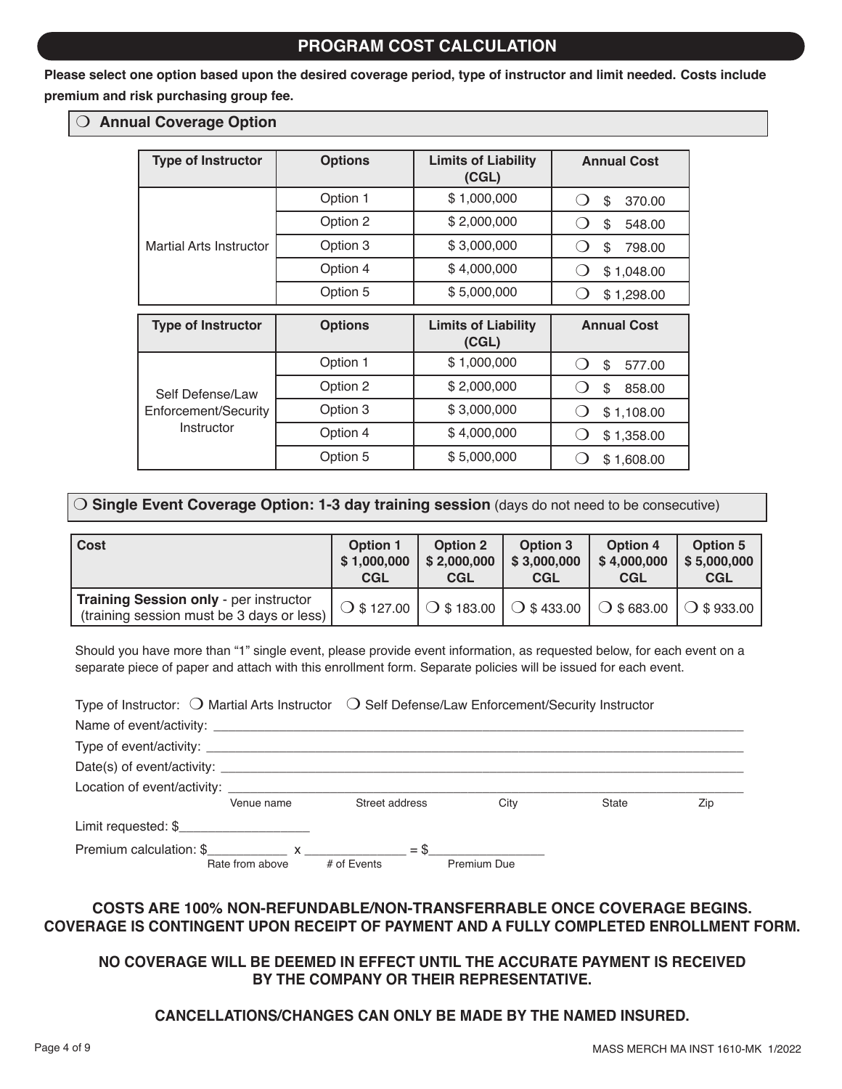### **PROGRAM COST CALCULATION**

**Please select one option based upon the desired coverage period, type of instructor and limit needed. Costs include premium and risk purchasing group fee.**

#### O Annual Coverage Option

| <b>Type of Instructor</b>                              | <b>Options</b> | <b>Limits of Liability</b><br>(CGL) | <b>Annual Cost</b>                     |
|--------------------------------------------------------|----------------|-------------------------------------|----------------------------------------|
|                                                        | Option 1       | \$1,000,000                         | \$<br>370.00<br>$\left( \quad \right)$ |
|                                                        | Option 2       | \$2,000,000                         | \$<br>548.00                           |
| Martial Arts Instructor                                | Option 3       | \$3,000,000                         | \$<br>798.00<br>$\left( \quad \right)$ |
|                                                        | Option 4       | \$4,000,000                         | \$1,048.00<br>$\left( \quad \right)$   |
|                                                        | Option 5       | \$5,000,000                         | \$1,298.00                             |
| <b>Type of Instructor</b>                              | <b>Options</b> | <b>Limits of Liability</b><br>(CGL) | <b>Annual Cost</b>                     |
|                                                        | Option 1       | \$1,000,000                         | \$<br>577.00                           |
| Self Defense/Law<br>Enforcement/Security<br>Instructor | Option 2       | \$2,000,000                         | \$<br>858.00                           |
|                                                        | Option 3       | \$3,000,000                         | \$1,108.00<br>$\left( \quad \right)$   |
|                                                        | Option 4       | \$4,000,000                         | \$1,358.00                             |
|                                                        | Option 5       | \$5,000,000                         | \$1,608.00                             |

### m **Single Event Coverage Option: 1-3 day training session** (days do not need to be consecutive)

| l Cost                                                                              | Option 1    | <b>Option 2</b> | Option 3                                              | <b>Option 4</b> | <b>Option 5</b>     |
|-------------------------------------------------------------------------------------|-------------|-----------------|-------------------------------------------------------|-----------------|---------------------|
|                                                                                     | \$1,000,000 | \$2,000,000     | \$3,000,000                                           | \$4,000,000     | \$5,000,000         |
|                                                                                     | <b>CGL</b>  | <b>CGL</b>      | <b>CGL</b>                                            | <b>CGL</b>      | <b>CGL</b>          |
| Training Session only - per instructor<br>(training session must be 3 days or less) |             |                 | ○ \$ 127.00   ○ \$ 183.00   ○ \$ 433.00   ○ \$ 683.00 |                 | $\bigcup$ \$ 933.00 |

Should you have more than "1" single event, please provide event information, as requested below, for each event on a separate piece of paper and attach with this enrollment form. Separate policies will be issued for each event.

| Type of Instructor: $\bigcirc$ Martial Arts Instructor $\bigcirc$ Self Defense/Law Enforcement/Security Instructor                                                                                                                                                                                           |                 |                |             |       |     |
|--------------------------------------------------------------------------------------------------------------------------------------------------------------------------------------------------------------------------------------------------------------------------------------------------------------|-----------------|----------------|-------------|-------|-----|
|                                                                                                                                                                                                                                                                                                              |                 |                |             |       |     |
|                                                                                                                                                                                                                                                                                                              |                 |                |             |       |     |
|                                                                                                                                                                                                                                                                                                              |                 |                |             |       |     |
| Location of event/activity: example and the set of the set of the set of the set of the set of the set of the set of the set of the set of the set of the set of the set of the set of the set of the set of the set of the se                                                                               |                 |                |             |       |     |
|                                                                                                                                                                                                                                                                                                              | Venue name      | Street address | City        | State | Zip |
| Limit requested: \$                                                                                                                                                                                                                                                                                          |                 |                |             |       |     |
| Premium calculation: $\frac{1}{2}$ $\frac{1}{2}$ $\frac{1}{2}$ $\frac{1}{2}$ $\frac{1}{2}$ $\frac{1}{2}$ $\frac{1}{2}$ $\frac{1}{2}$ $\frac{1}{2}$ $\frac{1}{2}$ $\frac{1}{2}$ $\frac{1}{2}$ $\frac{1}{2}$ $\frac{1}{2}$ $\frac{1}{2}$ $\frac{1}{2}$ $\frac{1}{2}$ $\frac{1}{2}$ $\frac{1}{2}$ $\frac{1}{2}$ | Rate from above | # of Events    | Premium Due |       |     |

#### **COSTS ARE 100% NON-REFUNDABLE/NON-TRANSFERRABLE ONCE COVERAGE BEGINS. COVERAGE IS CONTINGENT UPON RECEIPT OF PAYMENT AND A FULLY COMPLETED ENROLLMENT FORM.**

### **NO COVERAGE WILL BE DEEMED IN EFFECT UNTIL THE ACCURATE PAYMENT IS RECEIVED BY THE COMPANY OR THEIR REPRESENTATIVE.**

### **CANCELLATIONS/CHANGES CAN ONLY BE MADE BY THE NAMED INSURED.**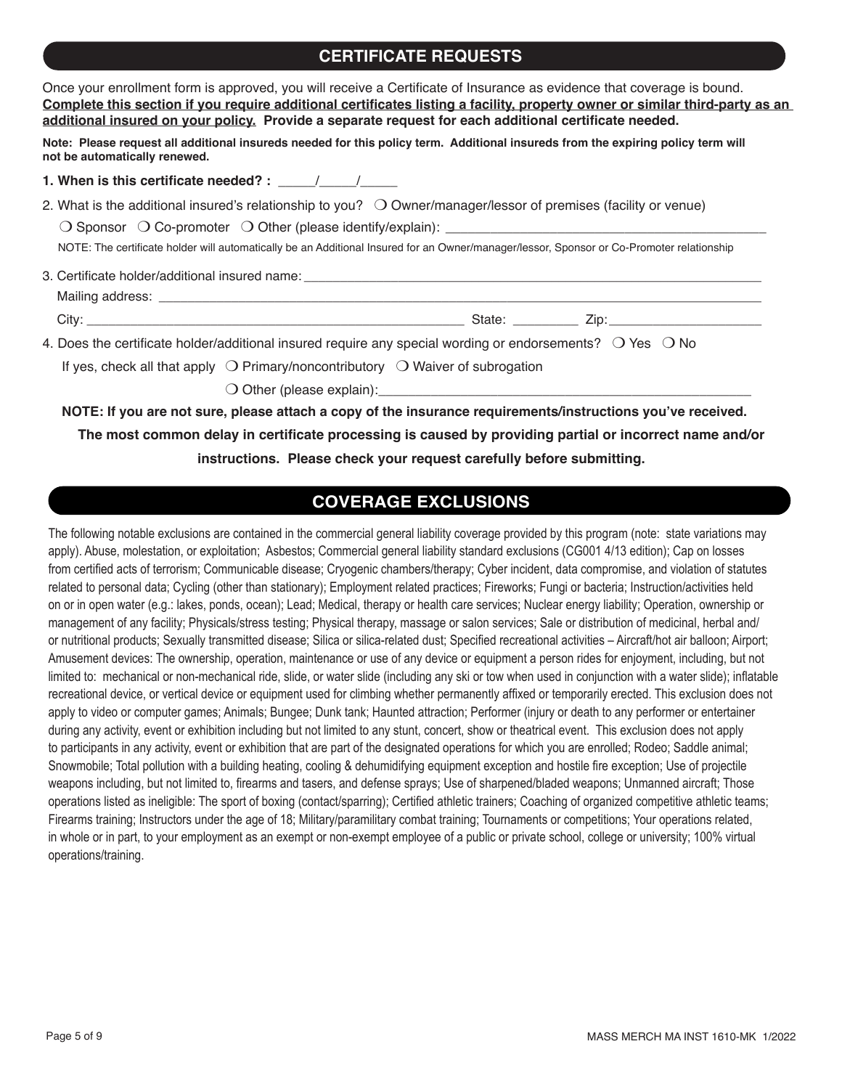### **CERTIFICATE REQUESTS**

| Once your enrollment form is approved, you will receive a Certificate of Insurance as evidence that coverage is bound.<br>Complete this section if you require additional certificates listing a facility, property owner or similar third-party as an<br>additional insured on your policy. Provide a separate request for each additional certificate needed.                                                   |
|-------------------------------------------------------------------------------------------------------------------------------------------------------------------------------------------------------------------------------------------------------------------------------------------------------------------------------------------------------------------------------------------------------------------|
| Note: Please request all additional insureds needed for this policy term. Additional insureds from the expiring policy term will<br>not be automatically renewed.                                                                                                                                                                                                                                                 |
| 1. When is this certificate needed? : $\frac{1}{\frac{1}{2} \cdot \frac{1}{2} \cdot \frac{1}{2} \cdot \frac{1}{2} \cdot \frac{1}{2} \cdot \frac{1}{2} \cdot \frac{1}{2} \cdot \frac{1}{2} \cdot \frac{1}{2} \cdot \frac{1}{2} \cdot \frac{1}{2} \cdot \frac{1}{2} \cdot \frac{1}{2} \cdot \frac{1}{2} \cdot \frac{1}{2} \cdot \frac{1}{2} \cdot \frac{1}{2} \cdot \frac{1}{2} \cdot \frac{1}{2} \cdot \frac{1}{2$ |
| 2. What is the additional insured's relationship to you? $\;\bigcirc$ Owner/manager/lessor of premises (facility or venue)<br>NOTE: The certificate holder will automatically be an Additional Insured for an Owner/manager/lessor, Sponsor or Co-Promoter relationship                                                                                                                                           |
|                                                                                                                                                                                                                                                                                                                                                                                                                   |
|                                                                                                                                                                                                                                                                                                                                                                                                                   |
|                                                                                                                                                                                                                                                                                                                                                                                                                   |
| 4. Does the certificate holder/additional insured require any special wording or endorsements? $\circ$ Yes $\circ$ No                                                                                                                                                                                                                                                                                             |
| If yes, check all that apply $\bigcirc$ Primary/noncontributory $\bigcirc$ Waiver of subrogation                                                                                                                                                                                                                                                                                                                  |
|                                                                                                                                                                                                                                                                                                                                                                                                                   |
| NOTE: If you are not sure, please attach a copy of the insurance requirements/instructions you've received.                                                                                                                                                                                                                                                                                                       |

**The most common delay in certificate processing is caused by providing partial or incorrect name and/or instructions. Please check your request carefully before submitting.**

### **COVERAGE EXCLUSIONS**

The following notable exclusions are contained in the commercial general liability coverage provided by this program (note: state variations may apply). Abuse, molestation, or exploitation; Asbestos; Commercial general liability standard exclusions (CG001 4/13 edition); Cap on losses from certified acts of terrorism; Communicable disease; Cryogenic chambers/therapy; Cyber incident, data compromise, and violation of statutes related to personal data; Cycling (other than stationary); Employment related practices; Fireworks; Fungi or bacteria; Instruction/activities held on or in open water (e.g.: lakes, ponds, ocean); Lead; Medical, therapy or health care services; Nuclear energy liability; Operation, ownership or management of any facility; Physicals/stress testing; Physical therapy, massage or salon services; Sale or distribution of medicinal, herbal and/ or nutritional products; Sexually transmitted disease; Silica or silica-related dust; Specified recreational activities – Aircraft/hot air balloon; Airport; Amusement devices: The ownership, operation, maintenance or use of any device or equipment a person rides for enjoyment, including, but not limited to: mechanical or non-mechanical ride, slide, or water slide (including any ski or tow when used in conjunction with a water slide); inflatable recreational device, or vertical device or equipment used for climbing whether permanently affixed or temporarily erected. This exclusion does not apply to video or computer games; Animals; Bungee; Dunk tank; Haunted attraction; Performer (injury or death to any performer or entertainer during any activity, event or exhibition including but not limited to any stunt, concert, show or theatrical event. This exclusion does not apply to participants in any activity, event or exhibition that are part of the designated operations for which you are enrolled; Rodeo; Saddle animal; Snowmobile; Total pollution with a building heating, cooling & dehumidifying equipment exception and hostile fire exception; Use of projectile weapons including, but not limited to, firearms and tasers, and defense sprays; Use of sharpened/bladed weapons; Unmanned aircraft; Those operations listed as ineligible: The sport of boxing (contact/sparring); Certified athletic trainers; Coaching of organized competitive athletic teams; Firearms training; Instructors under the age of 18; Military/paramilitary combat training; Tournaments or competitions; Your operations related, in whole or in part, to your employment as an exempt or non-exempt employee of a public or private school, college or university; 100% virtual operations/training.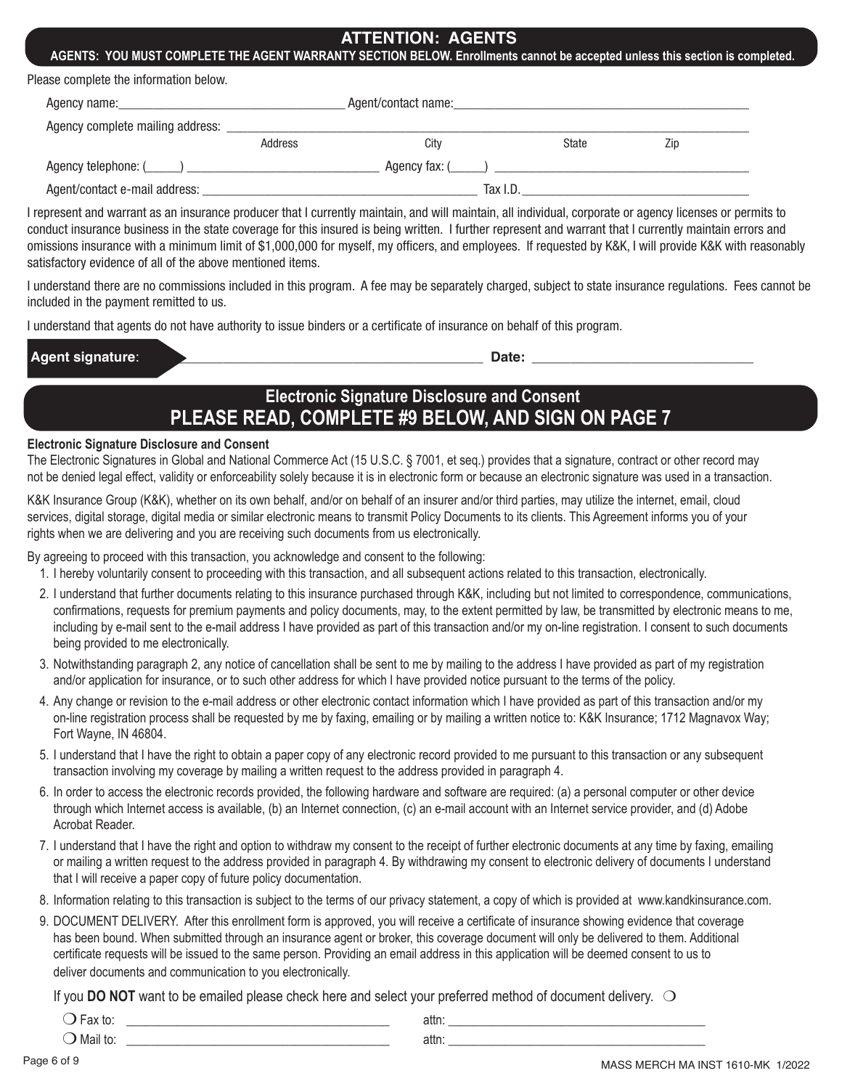### **ATTENTION: AGENTS**

**AGENTS: YOU MUST COMPLETE THE AGENT WARRANTY SECTION BELOW. Enrollments cannot be accepted unless this section is completed.**

| Please complete the information below. |  |  |  |  |  |
|----------------------------------------|--|--|--|--|--|
|----------------------------------------|--|--|--|--|--|

| Agency name:                     | Agent/contact name: |                     |              |     |  |
|----------------------------------|---------------------|---------------------|--------------|-----|--|
| Agency complete mailing address: |                     |                     |              |     |  |
|                                  | Address             | Citv                | <b>State</b> | Zip |  |
| Agency telephone: (_____) __     |                     | Agency fax: $($ $)$ |              |     |  |
| Agent/contact e-mail address:    |                     | Tax I.D.            |              |     |  |

I represent and warrant as an insurance producer that I currently maintain, and will maintain, all individual, corporate or agency licenses or permits to conduct insurance business in the state coverage for this insured is being written. I further represent and warrant that I currently maintain errors and omissions insurance with a minimum limit of \$1,000,000 for myself, my officers, and employees. If requested by K&K, I will provide K&K with reasonably satisfactory evidence of all of the above mentioned items.

I understand there are no commissions included in this program. A fee may be separately charged, subject to state insurance regulations. Fees cannot be included in the payment remitted to us.

I understand that agents do not have authority to issue binders or a certificate of insurance on behalf of this program.

| Adl<br>. . | -- |  |
|------------|----|--|
|            |    |  |

# **Electronic Signature Disclosure and Consent PLEASE READ, COMPLETE #9 BELOW, AND SIGN ON PAGE 7**

#### **Electronic Signature Disclosure and Consent**

The Electronic Signatures in Global and National Commerce Act (15 U.S.C. § 7001, et seq.) provides that a signature, contract or other record may not be denied legal effect, validity or enforceability solely because it is in electronic form or because an electronic signature was used in a transaction.

K&K Insurance Group (K&K), whether on its own behalf, and/or on behalf of an insurer and/or third parties, may utilize the internet, email, cloud services, digital storage, digital media or similar electronic means to transmit Policy Documents to its clients. This Agreement informs you of your rights when we are delivering and you are receiving such documents from us electronically.

By agreeing to proceed with this transaction, you acknowledge and consent to the following:

- 1. I hereby voluntarily consent to proceeding with this transaction, and all subsequent actions related to this transaction, electronically.
- 2. I understand that further documents relating to this insurance purchased through K&K, including but not limited to correspondence, communications, confirmations, requests for premium payments and policy documents, may, to the extent permitted by law, be transmitted by electronic means to me, including by e-mail sent to the e-mail address I have provided as part of this transaction and/or my on-line registration. I consent to such documents being provided to me electronically.
- 3. Notwithstanding paragraph 2, any notice of cancellation shall be sent to me by mailing to the address I have provided as part of my registration and/or application for insurance, or to such other address for which I have provided notice pursuant to the terms of the policy.
- 4. Any change or revision to the e-mail address or other electronic contact information which I have provided as part of this transaction and/or my on-line registration process shall be requested by me by faxing, emailing or by mailing a written notice to: K&K Insurance; 1712 Magnavox Way; Fort Wayne, IN 46804.
- 5. I understand that I have the right to obtain a paper copy of any electronic record provided to me pursuant to this transaction or any subsequent transaction involving my coverage by mailing a written request to the address provided in paragraph 4.
- 6. In order to access the electronic records provided, the following hardware and software are required: (a) a personal computer or other device through which Internet access is available, (b) an Internet connection, (c) an e-mail account with an Internet service provider, and (d) Adobe Acrobat Reader.
- 7. I understand that I have the right and option to withdraw my consent to the receipt of further electronic documents at any time by faxing, emailing or mailing a written request to the address provided in paragraph 4. By withdrawing my consent to electronic delivery of documents I understand that I will receive a paper copy of future policy documentation.
- 8. Information relating to this transaction is subject to the terms of our privacy statement, a copy of which is provided at www.kandkinsurance.com.
- 9. DOCUMENT DELIVERY. After this enrollment form is approved, you will receive a certificate of insurance showing evidence that coverage has been bound. When submitted through an insurance agent or broker, this coverage document will only be delivered to them. Additional certificate requests will be issued to the same person. Providing an email address in this application will be deemed consent to us to deliver documents and communication to you electronically.

If you **DO NOT** want to be emailed please check here and select your preferred method of document delivery.  $\bigcirc$ 

|  | . |  |
|--|---|--|
|  |   |  |

 $\bigcirc$  Mail to:  $\qquad \qquad$  attn:

Page 6 of 9 MASS MERCH MA INST 1610-MK 1/2022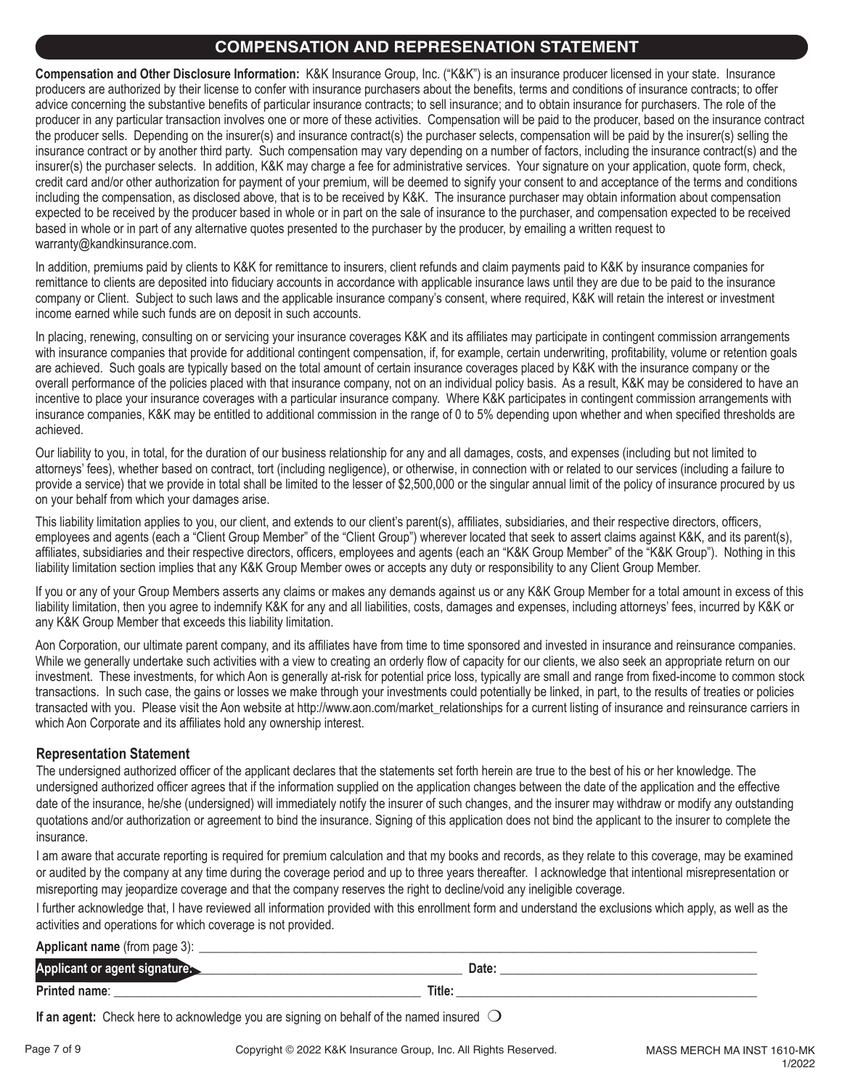### **COMPENSATION AND REPRESENATION STATEMENT**

**Compensation and Other Disclosure Information:** K&K Insurance Group, Inc. ("K&K") is an insurance producer licensed in your state. Insurance producers are authorized by their license to confer with insurance purchasers about the benefits, terms and conditions of insurance contracts; to offer advice concerning the substantive benefits of particular insurance contracts; to sell insurance; and to obtain insurance for purchasers. The role of the producer in any particular transaction involves one or more of these activities. Compensation will be paid to the producer, based on the insurance contract the producer sells. Depending on the insurer(s) and insurance contract(s) the purchaser selects, compensation will be paid by the insurer(s) selling the insurance contract or by another third party. Such compensation may vary depending on a number of factors, including the insurance contract(s) and the insurer(s) the purchaser selects. In addition, K&K may charge a fee for administrative services. Your signature on your application, quote form, check, credit card and/or other authorization for payment of your premium, will be deemed to signify your consent to and acceptance of the terms and conditions including the compensation, as disclosed above, that is to be received by K&K. The insurance purchaser may obtain information about compensation expected to be received by the producer based in whole or in part on the sale of insurance to the purchaser, and compensation expected to be received based in whole or in part of any alternative quotes presented to the purchaser by the producer, by emailing a written request to warranty@kandkinsurance.com.

In addition, premiums paid by clients to K&K for remittance to insurers, client refunds and claim payments paid to K&K by insurance companies for remittance to clients are deposited into fiduciary accounts in accordance with applicable insurance laws until they are due to be paid to the insurance company or Client. Subject to such laws and the applicable insurance company's consent, where required, K&K will retain the interest or investment income earned while such funds are on deposit in such accounts.

In placing, renewing, consulting on or servicing your insurance coverages K&K and its affiliates may participate in contingent commission arrangements with insurance companies that provide for additional contingent compensation, if, for example, certain underwriting, profitability, volume or retention goals are achieved. Such goals are typically based on the total amount of certain insurance coverages placed by K&K with the insurance company or the overall performance of the policies placed with that insurance company, not on an individual policy basis. As a result, K&K may be considered to have an incentive to place your insurance coverages with a particular insurance company. Where K&K participates in contingent commission arrangements with insurance companies, K&K may be entitled to additional commission in the range of 0 to 5% depending upon whether and when specified thresholds are achieved.

Our liability to you, in total, for the duration of our business relationship for any and all damages, costs, and expenses (including but not limited to attorneys' fees), whether based on contract, tort (including negligence), or otherwise, in connection with or related to our services (including a failure to provide a service) that we provide in total shall be limited to the lesser of \$2,500,000 or the singular annual limit of the policy of insurance procured by us on your behalf from which your damages arise.

This liability limitation applies to you, our client, and extends to our client's parent(s), affiliates, subsidiaries, and their respective directors, officers, employees and agents (each a "Client Group Member" of the "Client Group") wherever located that seek to assert claims against K&K, and its parent(s), affiliates, subsidiaries and their respective directors, officers, employees and agents (each an "K&K Group Member" of the "K&K Group"). Nothing in this liability limitation section implies that any K&K Group Member owes or accepts any duty or responsibility to any Client Group Member.

If you or any of your Group Members asserts any claims or makes any demands against us or any K&K Group Member for a total amount in excess of this liability limitation, then you agree to indemnify K&K for any and all liabilities, costs, damages and expenses, including attorneys' fees, incurred by K&K or any K&K Group Member that exceeds this liability limitation.

Aon Corporation, our ultimate parent company, and its affiliates have from time to time sponsored and invested in insurance and reinsurance companies. While we generally undertake such activities with a view to creating an orderly flow of capacity for our clients, we also seek an appropriate return on our investment. These investments, for which Aon is generally at-risk for potential price loss, typically are small and range from fixed-income to common stock transactions. In such case, the gains or losses we make through your investments could potentially be linked, in part, to the results of treaties or policies transacted with you. Please visit the Aon website at http://www.aon.com/market\_relationships for a current listing of insurance and reinsurance carriers in which Aon Corporate and its affiliates hold any ownership interest.

#### **Representation Statement**

The undersigned authorized officer of the applicant declares that the statements set forth herein are true to the best of his or her knowledge. The undersigned authorized officer agrees that if the information supplied on the application changes between the date of the application and the effective date of the insurance, he/she (undersigned) will immediately notify the insurer of such changes, and the insurer may withdraw or modify any outstanding quotations and/or authorization or agreement to bind the insurance. Signing of this application does not bind the applicant to the insurer to complete the insurance.

I am aware that accurate reporting is required for premium calculation and that my books and records, as they relate to this coverage, may be examined or audited by the company at any time during the coverage period and up to three years thereafter. I acknowledge that intentional misrepresentation or misreporting may jeopardize coverage and that the company reserves the right to decline/void any ineligible coverage.

I further acknowledge that, I have reviewed all information provided with this enrollment form and understand the exclusions which apply, as well as the activities and operations for which coverage is not provided.

| <b>Applicant name</b> (from page 3): |        |
|--------------------------------------|--------|
| Applicant or agent signaturer        | Date:  |
| <b>Printed name:</b>                 | Title: |

**If an agent:** Check here to acknowledge you are signing on behalf of the named insured  $\bigcirc$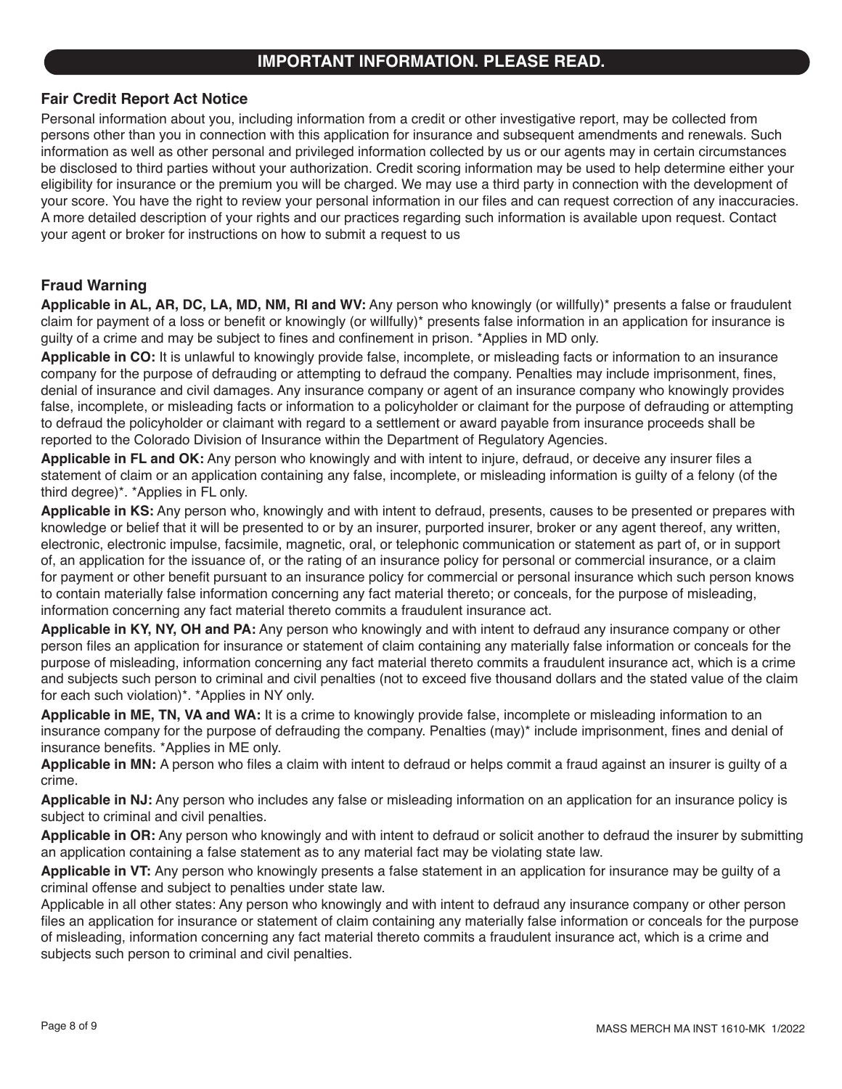### **IMPORTANT INFORMATION. PLEASE READ.**

#### **Fair Credit Report Act Notice**

Personal information about you, including information from a credit or other investigative report, may be collected from persons other than you in connection with this application for insurance and subsequent amendments and renewals. Such information as well as other personal and privileged information collected by us or our agents may in certain circumstances be disclosed to third parties without your authorization. Credit scoring information may be used to help determine either your eligibility for insurance or the premium you will be charged. We may use a third party in connection with the development of your score. You have the right to review your personal information in our files and can request correction of any inaccuracies. A more detailed description of your rights and our practices regarding such information is available upon request. Contact your agent or broker for instructions on how to submit a request to us

#### **Fraud Warning**

**Applicable in AL, AR, DC, LA, MD, NM, RI and WV:** Any person who knowingly (or willfully)\* presents a false or fraudulent claim for payment of a loss or benefit or knowingly (or willfully)\* presents false information in an application for insurance is guilty of a crime and may be subject to fines and confinement in prison. \*Applies in MD only.

**Applicable in CO:** It is unlawful to knowingly provide false, incomplete, or misleading facts or information to an insurance company for the purpose of defrauding or attempting to defraud the company. Penalties may include imprisonment, fines, denial of insurance and civil damages. Any insurance company or agent of an insurance company who knowingly provides false, incomplete, or misleading facts or information to a policyholder or claimant for the purpose of defrauding or attempting to defraud the policyholder or claimant with regard to a settlement or award payable from insurance proceeds shall be reported to the Colorado Division of Insurance within the Department of Regulatory Agencies.

**Applicable in FL and OK:** Any person who knowingly and with intent to injure, defraud, or deceive any insurer files a statement of claim or an application containing any false, incomplete, or misleading information is guilty of a felony (of the third degree)\*. \*Applies in FL only.

**Applicable in KS:** Any person who, knowingly and with intent to defraud, presents, causes to be presented or prepares with knowledge or belief that it will be presented to or by an insurer, purported insurer, broker or any agent thereof, any written, electronic, electronic impulse, facsimile, magnetic, oral, or telephonic communication or statement as part of, or in support of, an application for the issuance of, or the rating of an insurance policy for personal or commercial insurance, or a claim for payment or other benefit pursuant to an insurance policy for commercial or personal insurance which such person knows to contain materially false information concerning any fact material thereto; or conceals, for the purpose of misleading, information concerning any fact material thereto commits a fraudulent insurance act.

**Applicable in KY, NY, OH and PA:** Any person who knowingly and with intent to defraud any insurance company or other person files an application for insurance or statement of claim containing any materially false information or conceals for the purpose of misleading, information concerning any fact material thereto commits a fraudulent insurance act, which is a crime and subjects such person to criminal and civil penalties (not to exceed five thousand dollars and the stated value of the claim for each such violation)\*. \*Applies in NY only.

**Applicable in ME, TN, VA and WA:** It is a crime to knowingly provide false, incomplete or misleading information to an insurance company for the purpose of defrauding the company. Penalties (may)\* include imprisonment, fines and denial of insurance benefits. \*Applies in ME only.

**Applicable in MN:** A person who files a claim with intent to defraud or helps commit a fraud against an insurer is guilty of a crime.

**Applicable in NJ:** Any person who includes any false or misleading information on an application for an insurance policy is subject to criminal and civil penalties.

**Applicable in OR:** Any person who knowingly and with intent to defraud or solicit another to defraud the insurer by submitting an application containing a false statement as to any material fact may be violating state law.

**Applicable in VT:** Any person who knowingly presents a false statement in an application for insurance may be guilty of a criminal offense and subject to penalties under state law.

Applicable in all other states: Any person who knowingly and with intent to defraud any insurance company or other person files an application for insurance or statement of claim containing any materially false information or conceals for the purpose of misleading, information concerning any fact material thereto commits a fraudulent insurance act, which is a crime and subjects such person to criminal and civil penalties.